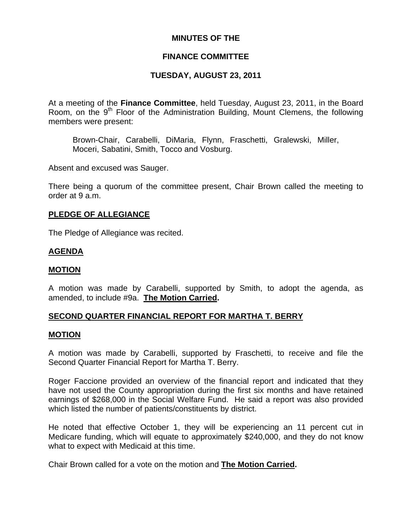#### **MINUTES OF THE**

#### **FINANCE COMMITTEE**

# **TUESDAY, AUGUST 23, 2011**

At a meeting of the **Finance Committee**, held Tuesday, August 23, 2011, in the Board Room, on the  $9<sup>th</sup>$  Floor of the Administration Building, Mount Clemens, the following members were present:

Brown-Chair, Carabelli, DiMaria, Flynn, Fraschetti, Gralewski, Miller, Moceri, Sabatini, Smith, Tocco and Vosburg.

Absent and excused was Sauger.

There being a quorum of the committee present, Chair Brown called the meeting to order at 9 a.m.

#### **PLEDGE OF ALLEGIANCE**

The Pledge of Allegiance was recited.

#### **AGENDA**

#### **MOTION**

A motion was made by Carabelli, supported by Smith, to adopt the agenda, as amended, to include #9a. **The Motion Carried.** 

## **SECOND QUARTER FINANCIAL REPORT FOR MARTHA T. BERRY**

#### **MOTION**

A motion was made by Carabelli, supported by Fraschetti, to receive and file the Second Quarter Financial Report for Martha T. Berry.

Roger Faccione provided an overview of the financial report and indicated that they have not used the County appropriation during the first six months and have retained earnings of \$268,000 in the Social Welfare Fund. He said a report was also provided which listed the number of patients/constituents by district.

He noted that effective October 1, they will be experiencing an 11 percent cut in Medicare funding, which will equate to approximately \$240,000, and they do not know what to expect with Medicaid at this time.

Chair Brown called for a vote on the motion and **The Motion Carried.**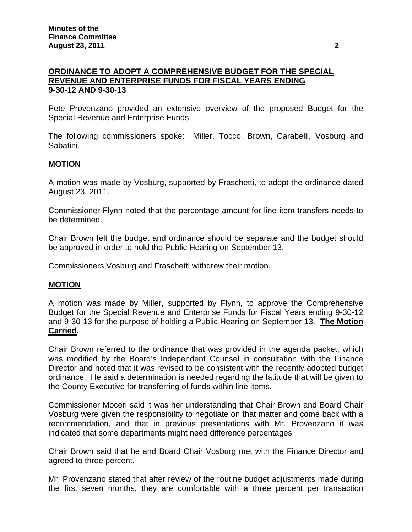# **ORDINANCE TO ADOPT A COMPREHENSIVE BUDGET FOR THE SPECIAL REVENUE AND ENTERPRISE FUNDS FOR FISCAL YEARS ENDING 9-30-12 AND 9-30-13**

Pete Provenzano provided an extensive overview of the proposed Budget for the Special Revenue and Enterprise Funds.

The following commissioners spoke: Miller, Tocco, Brown, Carabelli, Vosburg and Sabatini.

#### **MOTION**

A motion was made by Vosburg, supported by Fraschetti, to adopt the ordinance dated August 23, 2011.

Commissioner Flynn noted that the percentage amount for line item transfers needs to be determined.

Chair Brown felt the budget and ordinance should be separate and the budget should be approved in order to hold the Public Hearing on September 13.

Commissioners Vosburg and Fraschetti withdrew their motion.

#### **MOTION**

A motion was made by Miller, supported by Flynn, to approve the Comprehensive Budget for the Special Revenue and Enterprise Funds for Fiscal Years ending 9-30-12 and 9-30-13 for the purpose of holding a Public Hearing on September 13. **The Motion Carried.** 

Chair Brown referred to the ordinance that was provided in the agenda packet, which was modified by the Board's Independent Counsel in consultation with the Finance Director and noted that it was revised to be consistent with the recently adopted budget ordinance. He said a determination is needed regarding the latitude that will be given to the County Executive for transferring of funds within line items.

Commissioner Moceri said it was her understanding that Chair Brown and Board Chair Vosburg were given the responsibility to negotiate on that matter and come back with a recommendation, and that in previous presentations with Mr. Provenzano it was indicated that some departments might need difference percentages

Chair Brown said that he and Board Chair Vosburg met with the Finance Director and agreed to three percent.

Mr. Provenzano stated that after review of the routine budget adjustments made during the first seven months, they are comfortable with a three percent per transaction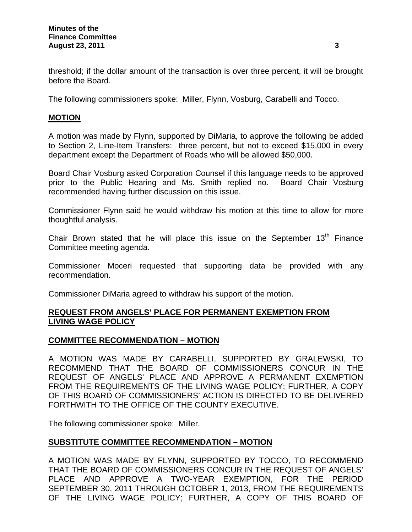threshold; if the dollar amount of the transaction is over three percent, it will be brought before the Board.

The following commissioners spoke: Miller, Flynn, Vosburg, Carabelli and Tocco.

#### **MOTION**

A motion was made by Flynn, supported by DiMaria, to approve the following be added to Section 2, Line-Item Transfers: three percent, but not to exceed \$15,000 in every department except the Department of Roads who will be allowed \$50,000.

Board Chair Vosburg asked Corporation Counsel if this language needs to be approved prior to the Public Hearing and Ms. Smith replied no. Board Chair Vosburg recommended having further discussion on this issue.

Commissioner Flynn said he would withdraw his motion at this time to allow for more thoughtful analysis.

Chair Brown stated that he will place this issue on the September  $13<sup>th</sup>$  Finance Committee meeting agenda.

Commissioner Moceri requested that supporting data be provided with any recommendation.

Commissioner DiMaria agreed to withdraw his support of the motion.

## **REQUEST FROM ANGELS' PLACE FOR PERMANENT EXEMPTION FROM LIVING WAGE POLICY**

## **COMMITTEE RECOMMENDATION – MOTION**

A MOTION WAS MADE BY CARABELLI, SUPPORTED BY GRALEWSKI, TO RECOMMEND THAT THE BOARD OF COMMISSIONERS CONCUR IN THE REQUEST OF ANGELS' PLACE AND APPROVE A PERMANENT EXEMPTION FROM THE REQUIREMENTS OF THE LIVING WAGE POLICY; FURTHER, A COPY OF THIS BOARD OF COMMISSIONERS' ACTION IS DIRECTED TO BE DELIVERED FORTHWITH TO THE OFFICE OF THE COUNTY EXECUTIVE.

The following commissioner spoke: Miller.

## **SUBSTITUTE COMMITTEE RECOMMENDATION – MOTION**

A MOTION WAS MADE BY FLYNN, SUPPORTED BY TOCCO, TO RECOMMEND THAT THE BOARD OF COMMISSIONERS CONCUR IN THE REQUEST OF ANGELS' PLACE AND APPROVE A TWO-YEAR EXEMPTION, FOR THE PERIOD SEPTEMBER 30, 2011 THROUGH OCTOBER 1, 2013, FROM THE REQUIREMENTS OF THE LIVING WAGE POLICY; FURTHER, A COPY OF THIS BOARD OF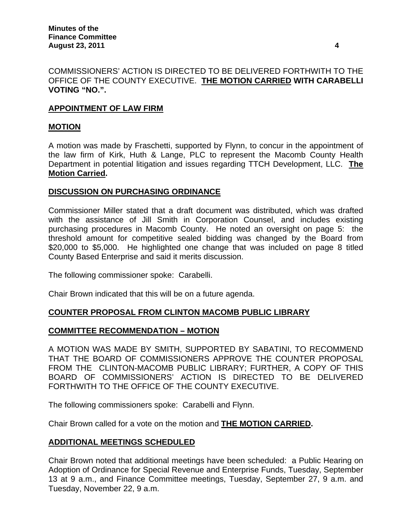# COMMISSIONERS' ACTION IS DIRECTED TO BE DELIVERED FORTHWITH TO THE OFFICE OF THE COUNTY EXECUTIVE. **THE MOTION CARRIED WITH CARABELLI VOTING "NO.".**

# **APPOINTMENT OF LAW FIRM**

#### **MOTION**

A motion was made by Fraschetti, supported by Flynn, to concur in the appointment of the law firm of Kirk, Huth & Lange, PLC to represent the Macomb County Health Department in potential litigation and issues regarding TTCH Development, LLC. **The Motion Carried.** 

#### **DISCUSSION ON PURCHASING ORDINANCE**

Commissioner Miller stated that a draft document was distributed, which was drafted with the assistance of Jill Smith in Corporation Counsel, and includes existing purchasing procedures in Macomb County. He noted an oversight on page 5: the threshold amount for competitive sealed bidding was changed by the Board from \$20,000 to \$5,000. He highlighted one change that was included on page 8 titled County Based Enterprise and said it merits discussion.

The following commissioner spoke: Carabelli.

Chair Brown indicated that this will be on a future agenda.

## **COUNTER PROPOSAL FROM CLINTON MACOMB PUBLIC LIBRARY**

## **COMMITTEE RECOMMENDATION – MOTION**

A MOTION WAS MADE BY SMITH, SUPPORTED BY SABATINI, TO RECOMMEND THAT THE BOARD OF COMMISSIONERS APPROVE THE COUNTER PROPOSAL FROM THE CLINTON-MACOMB PUBLIC LIBRARY; FURTHER, A COPY OF THIS BOARD OF COMMISSIONERS' ACTION IS DIRECTED TO BE DELIVERED FORTHWITH TO THE OFFICE OF THE COUNTY EXECUTIVE.

The following commissioners spoke: Carabelli and Flynn.

Chair Brown called for a vote on the motion and **THE MOTION CARRIED.** 

## **ADDITIONAL MEETINGS SCHEDULED**

Chair Brown noted that additional meetings have been scheduled: a Public Hearing on Adoption of Ordinance for Special Revenue and Enterprise Funds, Tuesday, September 13 at 9 a.m., and Finance Committee meetings, Tuesday, September 27, 9 a.m. and Tuesday, November 22, 9 a.m.